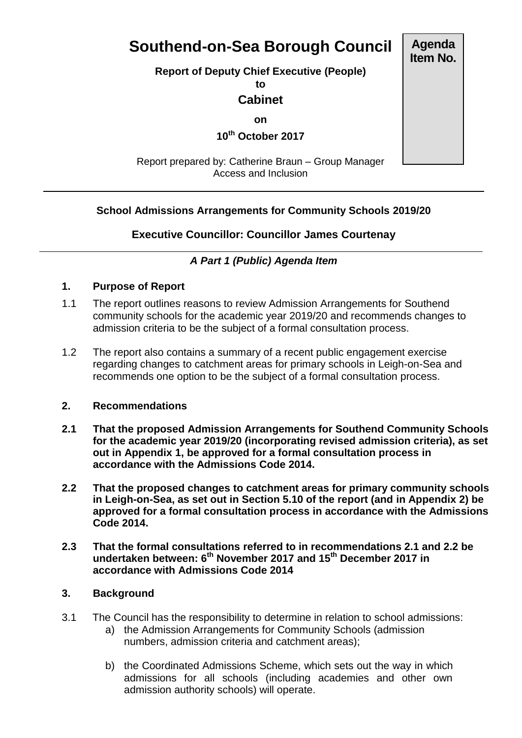# **Southend-on-Sea Borough Council**

**Report of Deputy Chief Executive (People)**

**to**

## **Cabinet**

**on**

**10th October 2017**

Report prepared by: Catherine Braun – Group Manager Access and Inclusion

## **School Admissions Arrangements for Community Schools 2019/20**

## **Executive Councillor: Councillor James Courtenay**

## *A Part 1 (Public) Agenda Item*

## **1. Purpose of Report**

- 1.1 The report outlines reasons to review Admission Arrangements for Southend community schools for the academic year 2019/20 and recommends changes to admission criteria to be the subject of a formal consultation process.
- 1.2 The report also contains a summary of a recent public engagement exercise regarding changes to catchment areas for primary schools in Leigh-on-Sea and recommends one option to be the subject of a formal consultation process.

### **2. Recommendations**

- **2.1 That the proposed Admission Arrangements for Southend Community Schools for the academic year 2019/20 (incorporating revised admission criteria), as set out in Appendix 1, be approved for a formal consultation process in accordance with the Admissions Code 2014.**
- **2.2 That the proposed changes to catchment areas for primary community schools in Leigh-on-Sea, as set out in Section 5.10 of the report (and in Appendix 2) be approved for a formal consultation process in accordance with the Admissions Code 2014.**
- **2.3 That the formal consultations referred to in recommendations 2.1 and 2.2 be undertaken between: 6 th November 2017 and 15th December 2017 in accordance with Admissions Code 2014**

### **3. Background**

- 3.1 The Council has the responsibility to determine in relation to school admissions:
	- a) the Admission Arrangements for Community Schools (admission numbers, admission criteria and catchment areas);
	- b) the Coordinated Admissions Scheme, which sets out the way in which admissions for all schools (including academies and other own admission authority schools) will operate.

**Agenda Item No.**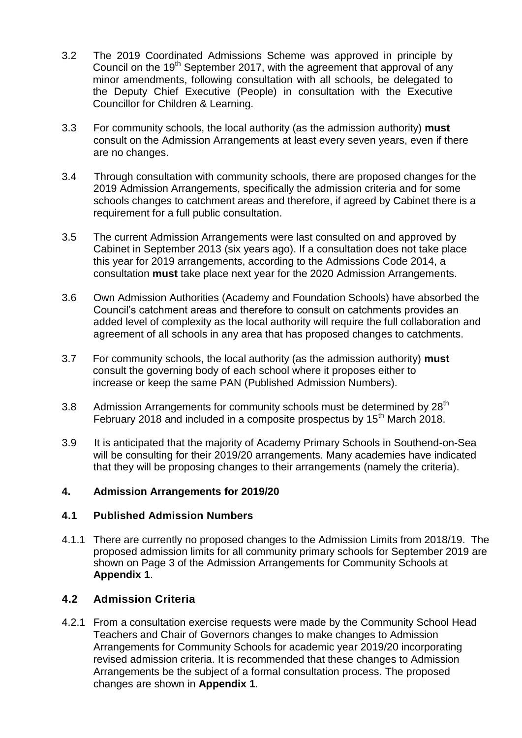- 3.2 The 2019 Coordinated Admissions Scheme was approved in principle by Council on the 19<sup>th</sup> September 2017, with the agreement that approval of any minor amendments, following consultation with all schools, be delegated to the Deputy Chief Executive (People) in consultation with the Executive Councillor for Children & Learning.
- 3.3 For community schools, the local authority (as the admission authority) **must** consult on the Admission Arrangements at least every seven years, even if there are no changes.
- 3.4 Through consultation with community schools, there are proposed changes for the 2019 Admission Arrangements, specifically the admission criteria and for some schools changes to catchment areas and therefore, if agreed by Cabinet there is a requirement for a full public consultation.
- 3.5 The current Admission Arrangements were last consulted on and approved by Cabinet in September 2013 (six years ago). If a consultation does not take place this year for 2019 arrangements, according to the Admissions Code 2014, a consultation **must** take place next year for the 2020 Admission Arrangements.
- 3.6 Own Admission Authorities (Academy and Foundation Schools) have absorbed the Council's catchment areas and therefore to consult on catchments provides an added level of complexity as the local authority will require the full collaboration and agreement of all schools in any area that has proposed changes to catchments.
- 3.7 For community schools, the local authority (as the admission authority) **must**  consult the governing body of each school where it proposes either to increase or keep the same PAN (Published Admission Numbers).
- 3.8 Admission Arrangements for community schools must be determined by 28<sup>th</sup> February 2018 and included in a composite prospectus by 15<sup>th</sup> March 2018.
- 3.9 It is anticipated that the majority of Academy Primary Schools in Southend-on-Sea will be consulting for their 2019/20 arrangements. Many academies have indicated that they will be proposing changes to their arrangements (namely the criteria).

## **4. Admission Arrangements for 2019/20**

### **4.1 Published Admission Numbers**

4.1.1 There are currently no proposed changes to the Admission Limits from 2018/19. The proposed admission limits for all community primary schools for September 2019 are shown on Page 3 of the Admission Arrangements for Community Schools at **Appendix 1**.

## **4.2 Admission Criteria**

4.2.1 From a consultation exercise requests were made by the Community School Head Teachers and Chair of Governors changes to make changes to Admission Arrangements for Community Schools for academic year 2019/20 incorporating revised admission criteria. It is recommended that these changes to Admission Arrangements be the subject of a formal consultation process. The proposed changes are shown in **Appendix 1***.*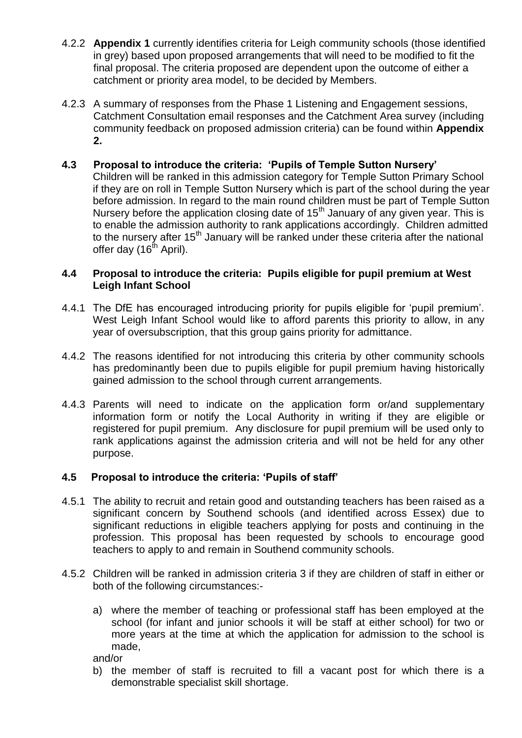- 4.2.2 **Appendix 1** currently identifies criteria for Leigh community schools (those identified in grey) based upon proposed arrangements that will need to be modified to fit the final proposal. The criteria proposed are dependent upon the outcome of either a catchment or priority area model, to be decided by Members.
- 4.2.3 A summary of responses from the Phase 1 Listening and Engagement sessions, Catchment Consultation email responses and the Catchment Area survey (including community feedback on proposed admission criteria) can be found within **Appendix 2.**
- **4.3 Proposal to introduce the criteria: 'Pupils of Temple Sutton Nursery'**

Children will be ranked in this admission category for Temple Sutton Primary School if they are on roll in Temple Sutton Nursery which is part of the school during the year before admission. In regard to the main round children must be part of Temple Sutton Nursery before the application closing date of  $15<sup>th</sup>$  January of any given year. This is to enable the admission authority to rank applications accordingly. Children admitted to the nursery after 15<sup>th</sup> January will be ranked under these criteria after the national offer day  $(16^{th}$  April).

## **4.4 Proposal to introduce the criteria: Pupils eligible for pupil premium at West Leigh Infant School**

- 4.4.1 The DfE has encouraged introducing priority for pupils eligible for 'pupil premium'. West Leigh Infant School would like to afford parents this priority to allow, in any year of oversubscription, that this group gains priority for admittance.
- 4.4.2 The reasons identified for not introducing this criteria by other community schools has predominantly been due to pupils eligible for pupil premium having historically gained admission to the school through current arrangements.
- 4.4.3 Parents will need to indicate on the application form or/and supplementary information form or notify the Local Authority in writing if they are eligible or registered for pupil premium. Any disclosure for pupil premium will be used only to rank applications against the admission criteria and will not be held for any other purpose.

## **4.5 Proposal to introduce the criteria: 'Pupils of staff'**

- 4.5.1 The ability to recruit and retain good and outstanding teachers has been raised as a significant concern by Southend schools (and identified across Essex) due to significant reductions in eligible teachers applying for posts and continuing in the profession. This proposal has been requested by schools to encourage good teachers to apply to and remain in Southend community schools.
- 4.5.2 Children will be ranked in admission criteria 3 if they are children of staff in either or both of the following circumstances:
	- a) where the member of teaching or professional staff has been employed at the school (for infant and junior schools it will be staff at either school) for two or more years at the time at which the application for admission to the school is made,

and/or

b) the member of staff is recruited to fill a vacant post for which there is a demonstrable specialist skill shortage.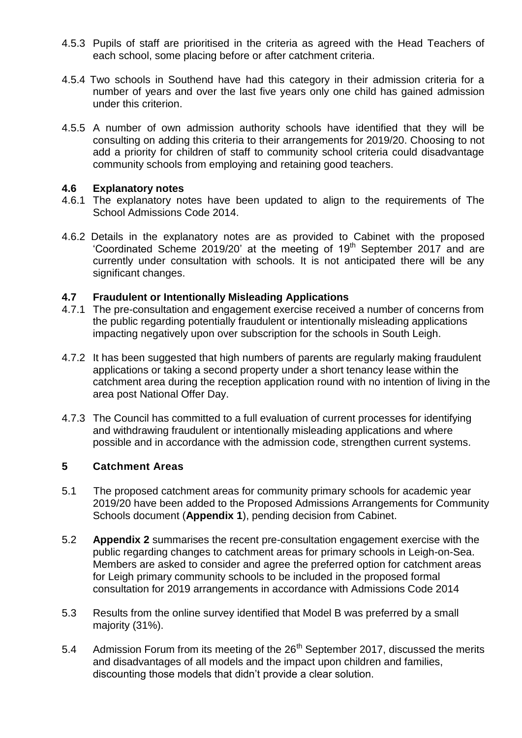- 4.5.3 Pupils of staff are prioritised in the criteria as agreed with the Head Teachers of each school, some placing before or after catchment criteria.
- 4.5.4 Two schools in Southend have had this category in their admission criteria for a number of years and over the last five years only one child has gained admission under this criterion.
- 4.5.5 A number of own admission authority schools have identified that they will be consulting on adding this criteria to their arrangements for 2019/20. Choosing to not add a priority for children of staff to community school criteria could disadvantage community schools from employing and retaining good teachers.

### **4.6 Explanatory notes**

- 4.6.1 The explanatory notes have been updated to align to the requirements of The School Admissions Code 2014.
- 4.6.2 Details in the explanatory notes are as provided to Cabinet with the proposed 'Coordinated Scheme 2019/20' at the meeting of 19<sup>th</sup> September 2017 and are currently under consultation with schools. It is not anticipated there will be any significant changes.

#### **4.7 Fraudulent or Intentionally Misleading Applications**

- 4.7.1 The pre-consultation and engagement exercise received a number of concerns from the public regarding potentially fraudulent or intentionally misleading applications impacting negatively upon over subscription for the schools in South Leigh.
- 4.7.2 It has been suggested that high numbers of parents are regularly making fraudulent applications or taking a second property under a short tenancy lease within the catchment area during the reception application round with no intention of living in the area post National Offer Day.
- 4.7.3 The Council has committed to a full evaluation of current processes for identifying and withdrawing fraudulent or intentionally misleading applications and where possible and in accordance with the admission code, strengthen current systems.

## **5 Catchment Areas**

- 5.1 The proposed catchment areas for community primary schools for academic year 2019/20 have been added to the Proposed Admissions Arrangements for Community Schools document (**Appendix 1**), pending decision from Cabinet.
- 5.2 **Appendix 2** summarises the recent pre-consultation engagement exercise with the public regarding changes to catchment areas for primary schools in Leigh-on-Sea. Members are asked to consider and agree the preferred option for catchment areas for Leigh primary community schools to be included in the proposed formal consultation for 2019 arrangements in accordance with Admissions Code 2014
- 5.3 Results from the online survey identified that Model B was preferred by a small majority (31%).
- 5.4 Admission Forum from its meeting of the 26<sup>th</sup> September 2017, discussed the merits and disadvantages of all models and the impact upon children and families, discounting those models that didn't provide a clear solution.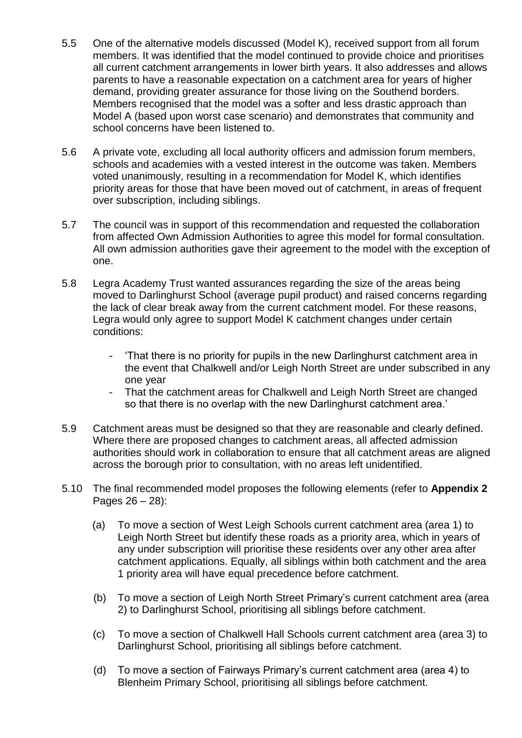- 5.5 One of the alternative models discussed (Model K), received support from all forum members. It was identified that the model continued to provide choice and prioritises all current catchment arrangements in lower birth years. It also addresses and allows parents to have a reasonable expectation on a catchment area for years of higher demand, providing greater assurance for those living on the Southend borders. Members recognised that the model was a softer and less drastic approach than Model A (based upon worst case scenario) and demonstrates that community and school concerns have been listened to.
- 5.6 A private vote, excluding all local authority officers and admission forum members, schools and academies with a vested interest in the outcome was taken. Members voted unanimously, resulting in a recommendation for Model K, which identifies priority areas for those that have been moved out of catchment, in areas of frequent over subscription, including siblings.
- 5.7 The council was in support of this recommendation and requested the collaboration from affected Own Admission Authorities to agree this model for formal consultation. All own admission authorities gave their agreement to the model with the exception of one.
- 5.8 Legra Academy Trust wanted assurances regarding the size of the areas being moved to Darlinghurst School (average pupil product) and raised concerns regarding the lack of clear break away from the current catchment model. For these reasons, Legra would only agree to support Model K catchment changes under certain conditions:
	- 'That there is no priority for pupils in the new Darlinghurst catchment area in the event that Chalkwell and/or Leigh North Street are under subscribed in any one year
	- That the catchment areas for Chalkwell and Leigh North Street are changed so that there is no overlap with the new Darlinghurst catchment area.'
- 5.9 Catchment areas must be designed so that they are reasonable and clearly defined. Where there are proposed changes to catchment areas, all affected admission authorities should work in collaboration to ensure that all catchment areas are aligned across the borough prior to consultation, with no areas left unidentified.
- 5.10 The final recommended model proposes the following elements (refer to **Appendix 2** Pages 26 – 28):
	- (a) To move a section of West Leigh Schools current catchment area (area 1) to Leigh North Street but identify these roads as a priority area, which in years of any under subscription will prioritise these residents over any other area after catchment applications. Equally, all siblings within both catchment and the area 1 priority area will have equal precedence before catchment.
	- (b) To move a section of Leigh North Street Primary's current catchment area (area 2) to Darlinghurst School, prioritising all siblings before catchment.
	- (c) To move a section of Chalkwell Hall Schools current catchment area (area 3) to Darlinghurst School, prioritising all siblings before catchment.
	- (d) To move a section of Fairways Primary's current catchment area (area 4) to Blenheim Primary School, prioritising all siblings before catchment.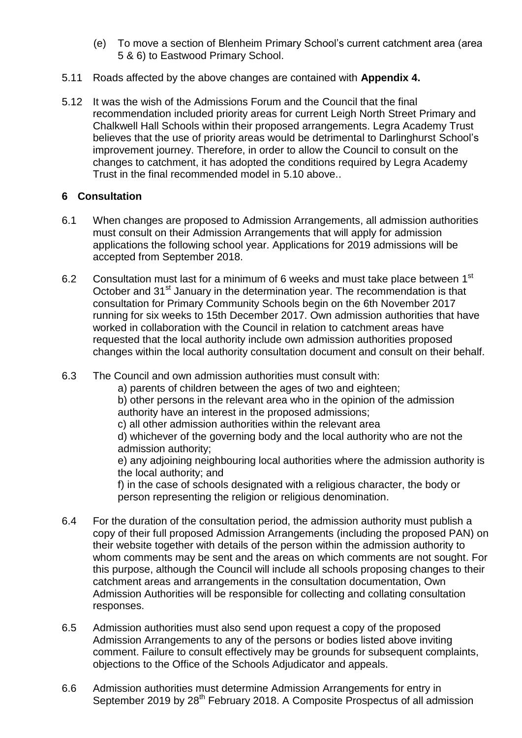- (e) To move a section of Blenheim Primary School's current catchment area (area 5 & 6) to Eastwood Primary School.
- 5.11 Roads affected by the above changes are contained with **Appendix 4.**
- 5.12 It was the wish of the Admissions Forum and the Council that the final recommendation included priority areas for current Leigh North Street Primary and Chalkwell Hall Schools within their proposed arrangements. Legra Academy Trust believes that the use of priority areas would be detrimental to Darlinghurst School's improvement journey. Therefore, in order to allow the Council to consult on the changes to catchment, it has adopted the conditions required by Legra Academy Trust in the final recommended model in 5.10 above..

## **6 Consultation**

- 6.1 When changes are proposed to Admission Arrangements, all admission authorities must consult on their Admission Arrangements that will apply for admission applications the following school year. Applications for 2019 admissions will be accepted from September 2018.
- 6.2 Consultation must last for a minimum of 6 weeks and must take place between 1<sup>st</sup> October and 31<sup>st</sup> January in the determination year. The recommendation is that consultation for Primary Community Schools begin on the 6th November 2017 running for six weeks to 15th December 2017. Own admission authorities that have worked in collaboration with the Council in relation to catchment areas have requested that the local authority include own admission authorities proposed changes within the local authority consultation document and consult on their behalf.
- 6.3 The Council and own admission authorities must consult with:
	- a) parents of children between the ages of two and eighteen;
	- b) other persons in the relevant area who in the opinion of the admission authority have an interest in the proposed admissions;
	- c) all other admission authorities within the relevant area
	- d) whichever of the governing body and the local authority who are not the admission authority;

e) any adjoining neighbouring local authorities where the admission authority is the local authority; and

f) in the case of schools designated with a religious character, the body or person representing the religion or religious denomination.

- 6.4 For the duration of the consultation period, the admission authority must publish a copy of their full proposed Admission Arrangements (including the proposed PAN) on their website together with details of the person within the admission authority to whom comments may be sent and the areas on which comments are not sought. For this purpose, although the Council will include all schools proposing changes to their catchment areas and arrangements in the consultation documentation, Own Admission Authorities will be responsible for collecting and collating consultation responses.
- 6.5 Admission authorities must also send upon request a copy of the proposed Admission Arrangements to any of the persons or bodies listed above inviting comment. Failure to consult effectively may be grounds for subsequent complaints, objections to the Office of the Schools Adjudicator and appeals.
- 6.6 Admission authorities must determine Admission Arrangements for entry in September 2019 by 28<sup>th</sup> February 2018. A Composite Prospectus of all admission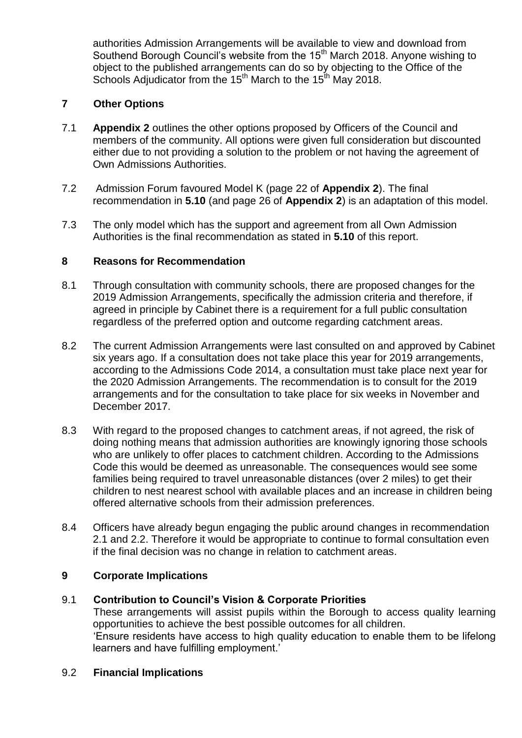authorities Admission Arrangements will be available to view and download from Southend Borough Council's website from the  $15<sup>th</sup>$  March 2018. Anyone wishing to object to the published arrangements can do so by objecting to the Office of the Schools Adjudicator from the  $15<sup>th</sup>$  March to the  $15<sup>th</sup>$  May 2018.

## **7 Other Options**

- 7.1 **Appendix 2** outlines the other options proposed by Officers of the Council and members of the community. All options were given full consideration but discounted either due to not providing a solution to the problem or not having the agreement of Own Admissions Authorities.
- 7.2 Admission Forum favoured Model K (page 22 of **Appendix 2**). The final recommendation in **5.10** (and page 26 of **Appendix 2**) is an adaptation of this model.
- 7.3 The only model which has the support and agreement from all Own Admission Authorities is the final recommendation as stated in **5.10** of this report.

## **8 Reasons for Recommendation**

- 8.1 Through consultation with community schools, there are proposed changes for the 2019 Admission Arrangements, specifically the admission criteria and therefore, if agreed in principle by Cabinet there is a requirement for a full public consultation regardless of the preferred option and outcome regarding catchment areas.
- 8.2 The current Admission Arrangements were last consulted on and approved by Cabinet six years ago. If a consultation does not take place this year for 2019 arrangements, according to the Admissions Code 2014, a consultation must take place next year for the 2020 Admission Arrangements. The recommendation is to consult for the 2019 arrangements and for the consultation to take place for six weeks in November and December 2017.
- 8.3 With regard to the proposed changes to catchment areas, if not agreed, the risk of doing nothing means that admission authorities are knowingly ignoring those schools who are unlikely to offer places to catchment children. According to the Admissions Code this would be deemed as unreasonable. The consequences would see some families being required to travel unreasonable distances (over 2 miles) to get their children to nest nearest school with available places and an increase in children being offered alternative schools from their admission preferences.
- 8.4 Officers have already begun engaging the public around changes in recommendation 2.1 and 2.2. Therefore it would be appropriate to continue to formal consultation even if the final decision was no change in relation to catchment areas.

## **9 Corporate Implications**

## 9.1 **Contribution to Council's Vision & Corporate Priorities**

These arrangements will assist pupils within the Borough to access quality learning opportunities to achieve the best possible outcomes for all children. 'Ensure residents have access to high quality education to enable them to be lifelong learners and have fulfilling employment.'

## 9.2 **Financial Implications**